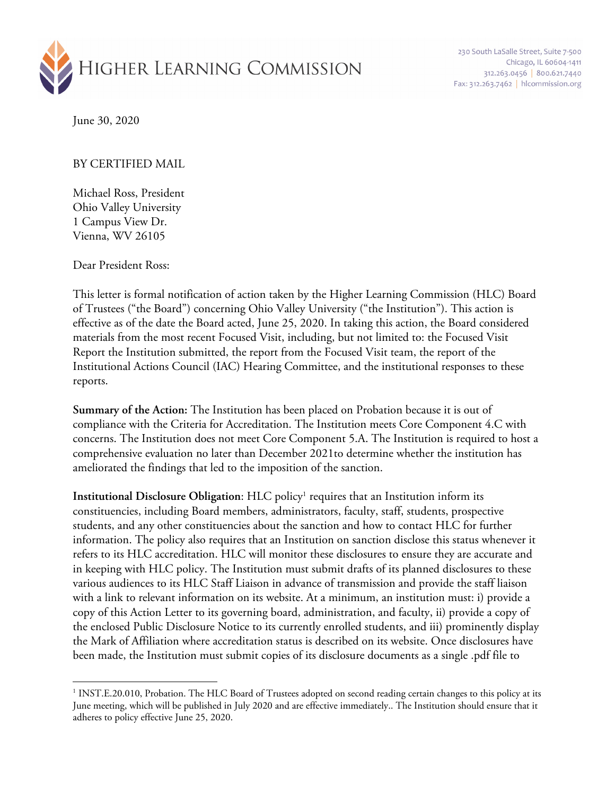

230 South LaSalle Street, Suite 7-500 Chicago, IL 60604-1411 312.263.0456 800.621.7440 Fax: 312.263.7462 | hlcommission.org

June 30, 2020

## BY CERTIFIED MAIL

Michael Ross, President Ohio Valley University 1 Campus View Dr. Vienna, WV 26105

Dear President Ross:

This letter is formal notification of action taken by the Higher Learning Commission (HLC) Board of Trustees ("the Board") concerning Ohio Valley University ("the Institution"). This action is effective as of the date the Board acted, June 25, 2020. In taking this action, the Board considered materials from the most recent Focused Visit, including, but not limited to: the Focused Visit Report the Institution submitted, the report from the Focused Visit team, the report of the Institutional Actions Council (IAC) Hearing Committee, and the institutional responses to these reports.

**Summary of the Action:** The Institution has been placed on Probation because it is out of compliance with the Criteria for Accreditation. The Institution meets Core Component 4.C with concerns. The Institution does not meet Core Component 5.A. The Institution is required to host a comprehensive evaluation no later than December 2021to determine whether the institution has ameliorated the findings that led to the imposition of the sanction.

**Institutional Disclosure Obligation:** HLC policy<sup>1</sup> requires that an Institution inform its constituencies, including Board members, administrators, faculty, staff, students, prospective students, and any other constituencies about the sanction and how to contact HLC for further information. The policy also requires that an Institution on sanction disclose this status whenever it refers to its HLC accreditation. HLC will monitor these disclosures to ensure they are accurate and in keeping with HLC policy. The Institution must submit drafts of its planned disclosures to these various audiences to its HLC Staff Liaison in advance of transmission and provide the staff liaison with a link to relevant information on its website. At a minimum, an institution must: i) provide a copy of this Action Letter to its governing board, administration, and faculty, ii) provide a copy of the enclosed Public Disclosure Notice to its currently enrolled students, and iii) prominently display the Mark of Affiliation where accreditation status is described on its website. Once disclosures have been made, the Institution must submit copies of its disclosure documents as a single .pdf file to

<sup>&</sup>lt;sup>1</sup> INST.E.20.010, Probation. The HLC Board of Trustees adopted on second reading certain changes to this policy at its June meeting, which will be published in July 2020 and are effective immediately.. The Institution should ensure that it adheres to policy effective June 25, 2020.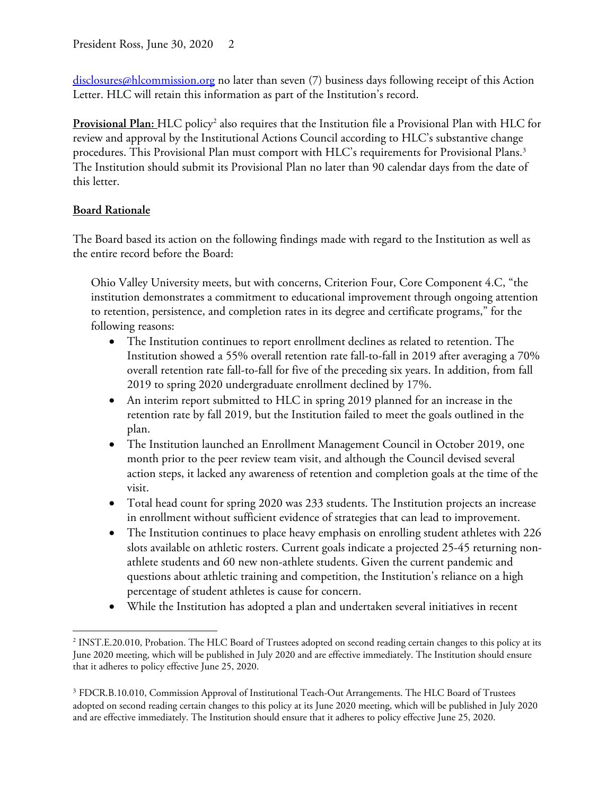disclosures@hlcommission.org no later than seven (7) business days following receipt of this Action Letter. HLC will retain this information as part of the Institution's record.

**Provisional Plan:** HLC policy2 also requires that the Institution file a Provisional Plan with HLC for review and approval by the Institutional Actions Council according to HLC's substantive change procedures. This Provisional Plan must comport with HLC's requirements for Provisional Plans. 3 The Institution should submit its Provisional Plan no later than 90 calendar days from the date of this letter.

## **Board Rationale**

The Board based its action on the following findings made with regard to the Institution as well as the entire record before the Board:

Ohio Valley University meets, but with concerns, Criterion Four, Core Component 4.C, "the institution demonstrates a commitment to educational improvement through ongoing attention to retention, persistence, and completion rates in its degree and certificate programs," for the following reasons:

- The Institution continues to report enrollment declines as related to retention. The Institution showed a 55% overall retention rate fall-to-fall in 2019 after averaging a 70% overall retention rate fall-to-fall for five of the preceding six years. In addition, from fall 2019 to spring 2020 undergraduate enrollment declined by 17%.
- An interim report submitted to HLC in spring 2019 planned for an increase in the retention rate by fall 2019, but the Institution failed to meet the goals outlined in the plan.
- The Institution launched an Enrollment Management Council in October 2019, one month prior to the peer review team visit, and although the Council devised several action steps, it lacked any awareness of retention and completion goals at the time of the visit.
- Total head count for spring 2020 was 233 students. The Institution projects an increase in enrollment without sufficient evidence of strategies that can lead to improvement.
- The Institution continues to place heavy emphasis on enrolling student athletes with 226 slots available on athletic rosters. Current goals indicate a projected 25-45 returning nonathlete students and 60 new non-athlete students. Given the current pandemic and questions about athletic training and competition, the Institution's reliance on a high percentage of student athletes is cause for concern.
- While the Institution has adopted a plan and undertaken several initiatives in recent

<sup>2</sup> INST.E.20.010, Probation. The HLC Board of Trustees adopted on second reading certain changes to this policy at its June 2020 meeting, which will be published in July 2020 and are effective immediately. The Institution should ensure that it adheres to policy effective June 25, 2020.

<sup>&</sup>lt;sup>3</sup> FDCR.B.10.010, Commission Approval of Institutional Teach-Out Arrangements. The HLC Board of Trustees adopted on second reading certain changes to this policy at its June 2020 meeting, which will be published in July 2020 and are effective immediately. The Institution should ensure that it adheres to policy effective June 25, 2020.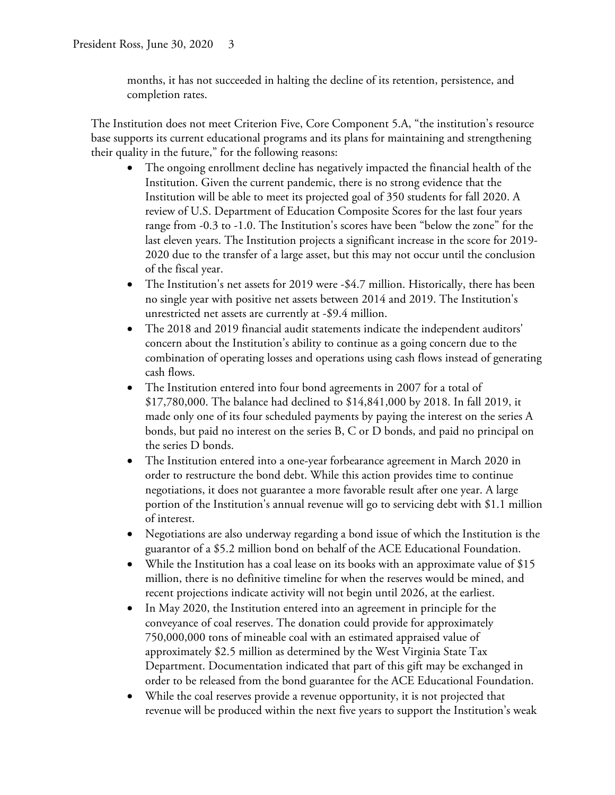months, it has not succeeded in halting the decline of its retention, persistence, and completion rates.

The Institution does not meet Criterion Five, Core Component 5.A, "the institution's resource base supports its current educational programs and its plans for maintaining and strengthening their quality in the future," for the following reasons:

- The ongoing enrollment decline has negatively impacted the financial health of the Institution. Given the current pandemic, there is no strong evidence that the Institution will be able to meet its projected goal of 350 students for fall 2020. A review of U.S. Department of Education Composite Scores for the last four years range from -0.3 to -1.0. The Institution's scores have been "below the zone" for the last eleven years. The Institution projects a significant increase in the score for 2019- 2020 due to the transfer of a large asset, but this may not occur until the conclusion of the fiscal year.
- The Institution's net assets for 2019 were -\$4.7 million. Historically, there has been no single year with positive net assets between 2014 and 2019. The Institution's unrestricted net assets are currently at -\$9.4 million.
- The 2018 and 2019 financial audit statements indicate the independent auditors' concern about the Institution's ability to continue as a going concern due to the combination of operating losses and operations using cash flows instead of generating cash flows.
- The Institution entered into four bond agreements in 2007 for a total of \$17,780,000. The balance had declined to \$14,841,000 by 2018. In fall 2019, it made only one of its four scheduled payments by paying the interest on the series A bonds, but paid no interest on the series B, C or D bonds, and paid no principal on the series D bonds.
- The Institution entered into a one-year forbearance agreement in March 2020 in order to restructure the bond debt. While this action provides time to continue negotiations, it does not guarantee a more favorable result after one year. A large portion of the Institution's annual revenue will go to servicing debt with \$1.1 million of interest.
- Negotiations are also underway regarding a bond issue of which the Institution is the guarantor of a \$5.2 million bond on behalf of the ACE Educational Foundation.
- While the Institution has a coal lease on its books with an approximate value of \$15 million, there is no definitive timeline for when the reserves would be mined, and recent projections indicate activity will not begin until 2026, at the earliest.
- In May 2020, the Institution entered into an agreement in principle for the conveyance of coal reserves. The donation could provide for approximately 750,000,000 tons of mineable coal with an estimated appraised value of approximately \$2.5 million as determined by the West Virginia State Tax Department. Documentation indicated that part of this gift may be exchanged in order to be released from the bond guarantee for the ACE Educational Foundation.
- While the coal reserves provide a revenue opportunity, it is not projected that revenue will be produced within the next five years to support the Institution's weak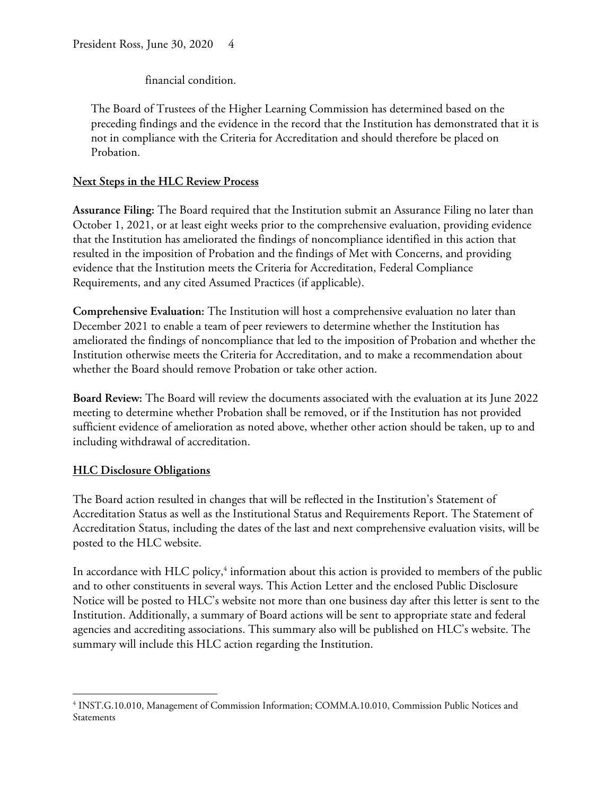financial condition.

The Board of Trustees of the Higher Learning Commission has determined based on the preceding findings and the evidence in the record that the Institution has demonstrated that it is not in compliance with the Criteria for Accreditation and should therefore be placed on Probation.

## **Next Steps in the HLC Review Process**

**Assurance Filing:** The Board required that the Institution submit an Assurance Filing no later than October 1, 2021, or at least eight weeks prior to the comprehensive evaluation, providing evidence that the Institution has ameliorated the findings of noncompliance identified in this action that resulted in the imposition of Probation and the findings of Met with Concerns, and providing evidence that the Institution meets the Criteria for Accreditation, Federal Compliance Requirements, and any cited Assumed Practices (if applicable).

**Comprehensive Evaluation:** The Institution will host a comprehensive evaluation no later than December 2021 to enable a team of peer reviewers to determine whether the Institution has ameliorated the findings of noncompliance that led to the imposition of Probation and whether the Institution otherwise meets the Criteria for Accreditation, and to make a recommendation about whether the Board should remove Probation or take other action.

**Board Review:** The Board will review the documents associated with the evaluation at its June 2022 meeting to determine whether Probation shall be removed, or if the Institution has not provided sufficient evidence of amelioration as noted above, whether other action should be taken, up to and including withdrawal of accreditation.

## **HLC Disclosure Obligations**

The Board action resulted in changes that will be reflected in the Institution's Statement of Accreditation Status as well as the Institutional Status and Requirements Report. The Statement of Accreditation Status, including the dates of the last and next comprehensive evaluation visits, will be posted to the HLC website.

In accordance with HLC policy,<sup>4</sup> information about this action is provided to members of the public and to other constituents in several ways. This Action Letter and the enclosed Public Disclosure Notice will be posted to HLC's website not more than one business day after this letter is sent to the Institution. Additionally, a summary of Board actions will be sent to appropriate state and federal agencies and accrediting associations. This summary also will be published on HLC's website. The summary will include this HLC action regarding the Institution.

<sup>4</sup> INST.G.10.010, Management of Commission Information; COMM.A.10.010, Commission Public Notices and Statements